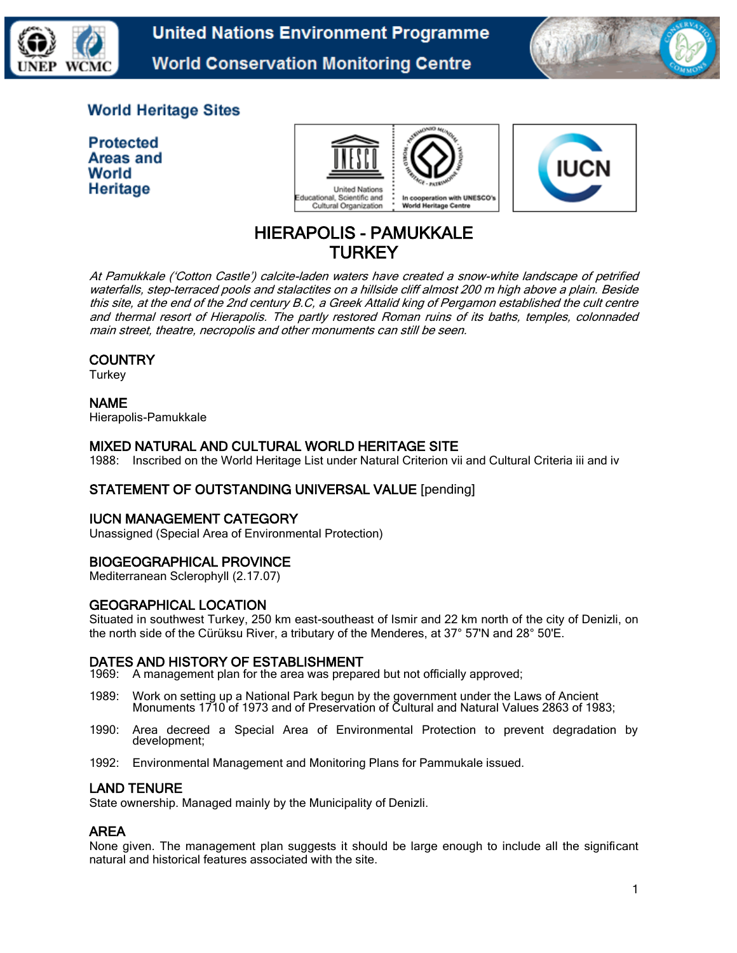

**United Nations Environment Programme World Conservation Monitoring Centre** 



# **World Heritage Sites**

**Protected** Areas and World Heritage





# HIERAPOLIS - PAMUKKALE **TURKEY**

At Pamukkale ('Cotton Castle') calcite-laden waters have created a snow-white landscape of petrified waterfalls, step-terraced pools and stalactites on a hillside cliff almost 200 m high above a plain. Beside this site, at the end of the 2nd century B.C, a Greek Attalid king of Pergamon established the cult centre and thermal resort of Hierapolis. The partly restored Roman ruins of its baths, temples, colonnaded main street, theatre, necropolis and other monuments can still be seen.

## **COUNTRY**

**Turkey** 

## NAME

Hierapolis-Pamukkale

## MIXED NATURAL AND CULTURAL WORLD HERITAGE SITE

1988: Inscribed on the World Heritage List under Natural Criterion vii and Cultural Criteria iii and iv

## STATEMENT OF OUTSTANDING UNIVERSAL VALUE [pending]

## IUCN MANAGEMENT CATEGORY

Unassigned (Special Area of Environmental Protection)

# BIOGEOGRAPHICAL PROVINCE

Mediterranean Sclerophyll (2.17.07)

## GEOGRAPHICAL LOCATION

Situated in southwest Turkey, 250 km east-southeast of Ismir and 22 km north of the city of Denizli, on the north side of the Cürüksu River, a tributary of the Menderes, at 37° 57'N and 28° 50'E.

## DATES AND HISTORY OF ESTABLISHMENT

1969: A management plan for the area was prepared but not officially approved;

- 1989: Work on setting up a National Park begun by the government under the Laws of Ancient Monuments 1710 of 1973 and of Preservation of Cultural and Natural Values 2863 of 1983;
- 1990: Area decreed a Special Area of Environmental Protection to prevent degradation by development;
- 1992: Environmental Management and Monitoring Plans for Pammukale issued.

#### LAND TENURE

State ownership. Managed mainly by the Municipality of Denizli.

## AREA

None given. The management plan suggests it should be large enough to include all the significant natural and historical features associated with the site.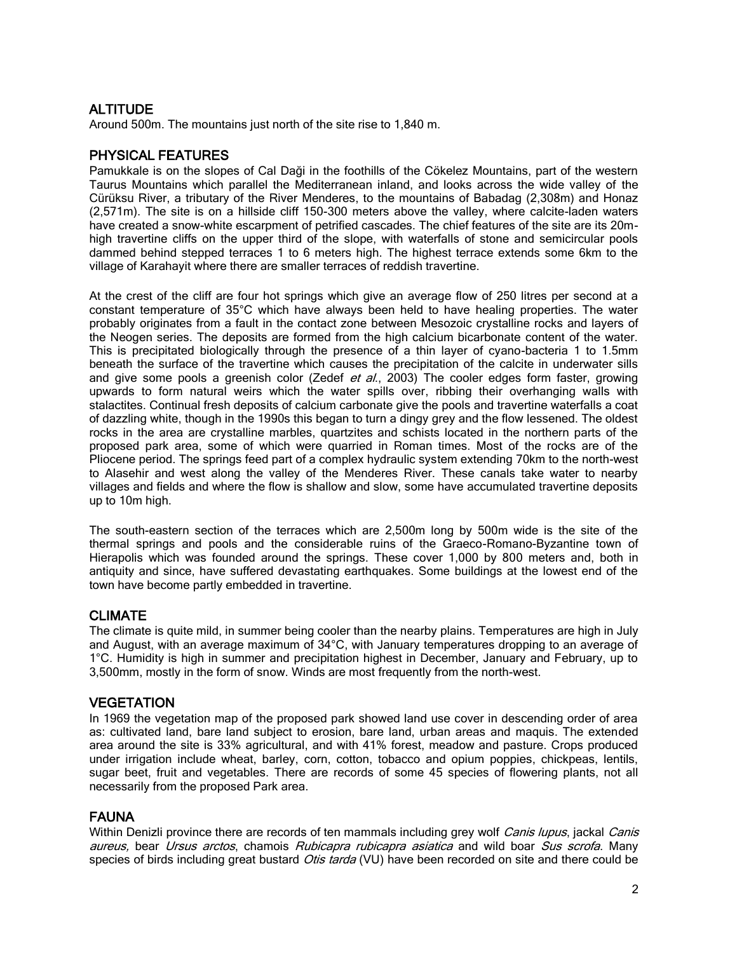## ALTITUDE

Around 500m. The mountains just north of the site rise to 1,840 m.

## PHYSICAL FEATURES

Pamukkale is on the slopes of Cal Daği in the foothills of the Cökelez Mountains, part of the western Taurus Mountains which parallel the Mediterranean inland, and looks across the wide valley of the Cürüksu River, a tributary of the River Menderes, to the mountains of Babadag (2,308m) and Honaz (2,571m). The site is on a hillside cliff 150-300 meters above the valley, where calcite-laden waters have created a snow-white escarpment of petrified cascades. The chief features of the site are its 20mhigh travertine cliffs on the upper third of the slope, with waterfalls of stone and semicircular pools dammed behind stepped terraces 1 to 6 meters high. The highest terrace extends some 6km to the village of Karahayit where there are smaller terraces of reddish travertine.

At the crest of the cliff are four hot springs which give an average flow of 250 litres per second at a constant temperature of 35°C which have always been held to have healing properties. The water probably originates from a fault in the contact zone between Mesozoic crystalline rocks and layers of the Neogen series. The deposits are formed from the high calcium bicarbonate content of the water. This is precipitated biologically through the presence of a thin layer of cyano-bacteria 1 to 1.5mm beneath the surface of the travertine which causes the precipitation of the calcite in underwater sills and give some pools a greenish color (Zedef et al., 2003) The cooler edges form faster, growing upwards to form natural weirs which the water spills over, ribbing their overhanging walls with stalactites. Continual fresh deposits of calcium carbonate give the pools and travertine waterfalls a coat of dazzling white, though in the 1990s this began to turn a dingy grey and the flow lessened. The oldest rocks in the area are crystalline marbles, quartzites and schists located in the northern parts of the proposed park area, some of which were quarried in Roman times. Most of the rocks are of the Pliocene period. The springs feed part of a complex hydraulic system extending 70km to the north-west to Alasehir and west along the valley of the Menderes River. These canals take water to nearby villages and fields and where the flow is shallow and slow, some have accumulated travertine deposits up to 10m high.

The south-eastern section of the terraces which are 2,500m long by 500m wide is the site of the thermal springs and pools and the considerable ruins of the Graeco-Romano-Byzantine town of Hierapolis which was founded around the springs. These cover 1,000 by 800 meters and, both in antiquity and since, have suffered devastating earthquakes. Some buildings at the lowest end of the town have become partly embedded in travertine.

## **CLIMATE**

The climate is quite mild, in summer being cooler than the nearby plains. Temperatures are high in July and August, with an average maximum of 34°C, with January temperatures dropping to an average of 1°C. Humidity is high in summer and precipitation highest in December, January and February, up to 3,500mm, mostly in the form of snow. Winds are most frequently from the north-west.

## **VEGETATION**

In 1969 the vegetation map of the proposed park showed land use cover in descending order of area as: cultivated land, bare land subject to erosion, bare land, urban areas and maquis. The extended area around the site is 33% agricultural, and with 41% forest, meadow and pasture. Crops produced under irrigation include wheat, barley, corn, cotton, tobacco and opium poppies, chickpeas, lentils, sugar beet, fruit and vegetables. There are records of some 45 species of flowering plants, not all necessarily from the proposed Park area.

## **FAUNA**

Within Denizli province there are records of ten mammals including grey wolf Canis lupus, jackal Canis aureus, bear Ursus arctos, chamois Rubicapra rubicapra asiatica and wild boar Sus scrofa. Many species of birds including great bustard *Otis tarda* (VU) have been recorded on site and there could be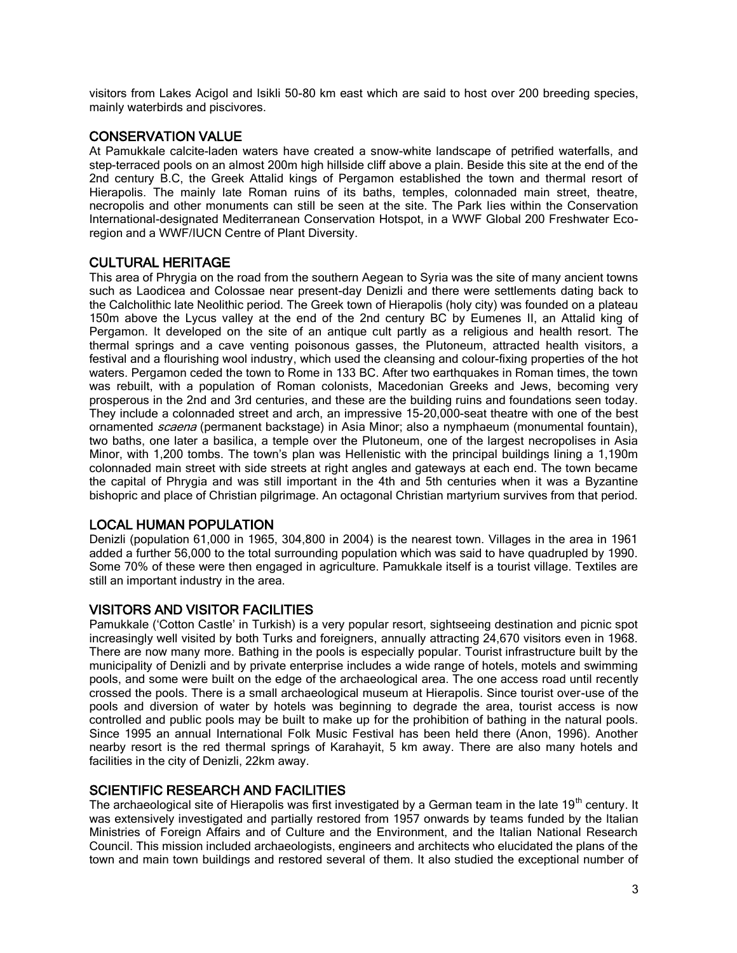visitors from Lakes Acigol and Isikli 50-80 km east which are said to host over 200 breeding species, mainly waterbirds and piscivores.

## CONSERVATION VALUE

At Pamukkale calcite-laden waters have created a snow-white landscape of petrified waterfalls, and step-terraced pools on an almost 200m high hillside cliff above a plain. Beside this site at the end of the 2nd century B.C, the Greek Attalid kings of Pergamon established the town and thermal resort of Hierapolis. The mainly late Roman ruins of its baths, temples, colonnaded main street, theatre, necropolis and other monuments can still be seen at the site. The Park lies within the Conservation International-designated Mediterranean Conservation Hotspot, in a WWF Global 200 Freshwater Ecoregion and a WWF/IUCN Centre of Plant Diversity.

## CULTURAL HERITAGE

This area of Phrygia on the road from the southern Aegean to Syria was the site of many ancient towns such as Laodicea and Colossae near present-day Denizli and there were settlements dating back to the Calcholithic late Neolithic period. The Greek town of Hierapolis (holy city) was founded on a plateau 150m above the Lycus valley at the end of the 2nd century BC by Eumenes II, an Attalid king of Pergamon. It developed on the site of an antique cult partly as a religious and health resort. The thermal springs and a cave venting poisonous gasses, the Plutoneum, attracted health visitors, a festival and a flourishing wool industry, which used the cleansing and colour-fixing properties of the hot waters. Pergamon ceded the town to Rome in 133 BC. After two earthquakes in Roman times, the town was rebuilt, with a population of Roman colonists, Macedonian Greeks and Jews, becoming very prosperous in the 2nd and 3rd centuries, and these are the building ruins and foundations seen today. They include a colonnaded street and arch, an impressive 15-20,000-seat theatre with one of the best ornamented *scaena* (permanent backstage) in Asia Minor; also a nymphaeum (monumental fountain), two baths, one later a basilica, a temple over the Plutoneum, one of the largest necropolises in Asia Minor, with 1,200 tombs. The town's plan was Hellenistic with the principal buildings lining a 1,190m colonnaded main street with side streets at right angles and gateways at each end. The town became the capital of Phrygia and was still important in the 4th and 5th centuries when it was a Byzantine bishopric and place of Christian pilgrimage. An octagonal Christian martyrium survives from that period.

# LOCAL HUMAN POPULATION

Denizli (population 61,000 in 1965, 304,800 in 2004) is the nearest town. Villages in the area in 1961 added a further 56,000 to the total surrounding population which was said to have quadrupled by 1990. Some 70% of these were then engaged in agriculture. Pamukkale itself is a tourist village. Textiles are still an important industry in the area.

## VISITORS AND VISITOR FACILITIES

Pamukkale ('Cotton Castle' in Turkish) is a very popular resort, sightseeing destination and picnic spot increasingly well visited by both Turks and foreigners, annually attracting 24,670 visitors even in 1968. There are now many more. Bathing in the pools is especially popular. Tourist infrastructure built by the municipality of Denizli and by private enterprise includes a wide range of hotels, motels and swimming pools, and some were built on the edge of the archaeological area. The one access road until recently crossed the pools. There is a small archaeological museum at Hierapolis. Since tourist over-use of the pools and diversion of water by hotels was beginning to degrade the area, tourist access is now controlled and public pools may be built to make up for the prohibition of bathing in the natural pools. Since 1995 an annual International Folk Music Festival has been held there (Anon, 1996). Another nearby resort is the red thermal springs of Karahayit, 5 km away. There are also many hotels and facilities in the city of Denizli, 22km away.

# SCIENTIFIC RESEARCH AND FACILITIES

The archaeological site of Hierapolis was first investigated by a German team in the late  $19<sup>th</sup>$  century. It was extensively investigated and partially restored from 1957 onwards by teams funded by the Italian Ministries of Foreign Affairs and of Culture and the Environment, and the Italian National Research Council. This mission included archaeologists, engineers and architects who elucidated the plans of the town and main town buildings and restored several of them. It also studied the exceptional number of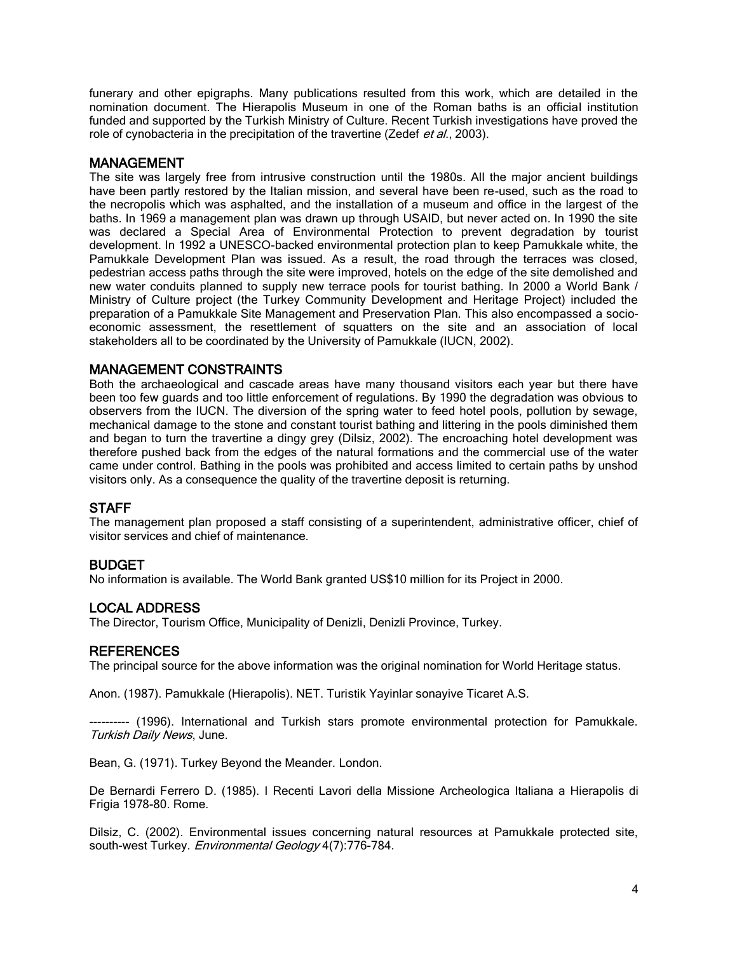funerary and other epigraphs. Many publications resulted from this work, which are detailed in the nomination document. The Hierapolis Museum in one of the Roman baths is an official institution funded and supported by the Turkish Ministry of Culture. Recent Turkish investigations have proved the role of cynobacteria in the precipitation of the travertine (Zedef et al., 2003).

#### MANAGEMENT

The site was largely free from intrusive construction until the 1980s. All the major ancient buildings have been partly restored by the Italian mission, and several have been re-used, such as the road to the necropolis which was asphalted, and the installation of a museum and office in the largest of the baths. In 1969 a management plan was drawn up through USAID, but never acted on. In 1990 the site was declared a Special Area of Environmental Protection to prevent degradation by tourist development. In 1992 a UNESCO-backed environmental protection plan to keep Pamukkale white, the Pamukkale Development Plan was issued. As a result, the road through the terraces was closed, pedestrian access paths through the site were improved, hotels on the edge of the site demolished and new water conduits planned to supply new terrace pools for tourist bathing. In 2000 a World Bank / Ministry of Culture project (the Turkey Community Development and Heritage Project) included the preparation of a Pamukkale Site Management and Preservation Plan. This also encompassed a socioeconomic assessment, the resettlement of squatters on the site and an association of local stakeholders all to be coordinated by the University of Pamukkale (IUCN, 2002).

#### MANAGEMENT CONSTRAINTS

Both the archaeological and cascade areas have many thousand visitors each year but there have been too few guards and too little enforcement of regulations. By 1990 the degradation was obvious to observers from the IUCN. The diversion of the spring water to feed hotel pools, pollution by sewage, mechanical damage to the stone and constant tourist bathing and littering in the pools diminished them and began to turn the travertine a dingy grey (Dilsiz, 2002). The encroaching hotel development was therefore pushed back from the edges of the natural formations and the commercial use of the water came under control. Bathing in the pools was prohibited and access limited to certain paths by unshod visitors only. As a consequence the quality of the travertine deposit is returning.

#### **STAFF**

The management plan proposed a staff consisting of a superintendent, administrative officer, chief of visitor services and chief of maintenance.

#### BUDGET

No information is available. The World Bank granted US\$10 million for its Project in 2000.

#### LOCAL ADDRESS

The Director, Tourism Office, Municipality of Denizli, Denizli Province, Turkey.

#### **REFERENCES**

The principal source for the above information was the original nomination for World Heritage status.

Anon. (1987). Pamukkale (Hierapolis). NET. Turistik Yayinlar sonayive Ticaret A.S.

---- (1996). International and Turkish stars promote environmental protection for Pamukkale. Turkish Daily News, June.

Bean, G. (1971). Turkey Beyond the Meander. London.

De Bernardi Ferrero D. (1985). I Recenti Lavori della Missione Archeologica Italiana a Hierapolis di Frigia 1978-80. Rome.

Dilsiz, C. (2002). Environmental issues concerning natural resources at Pamukkale protected site, south-west Turkey. Environmental Geology 4(7):776-784.